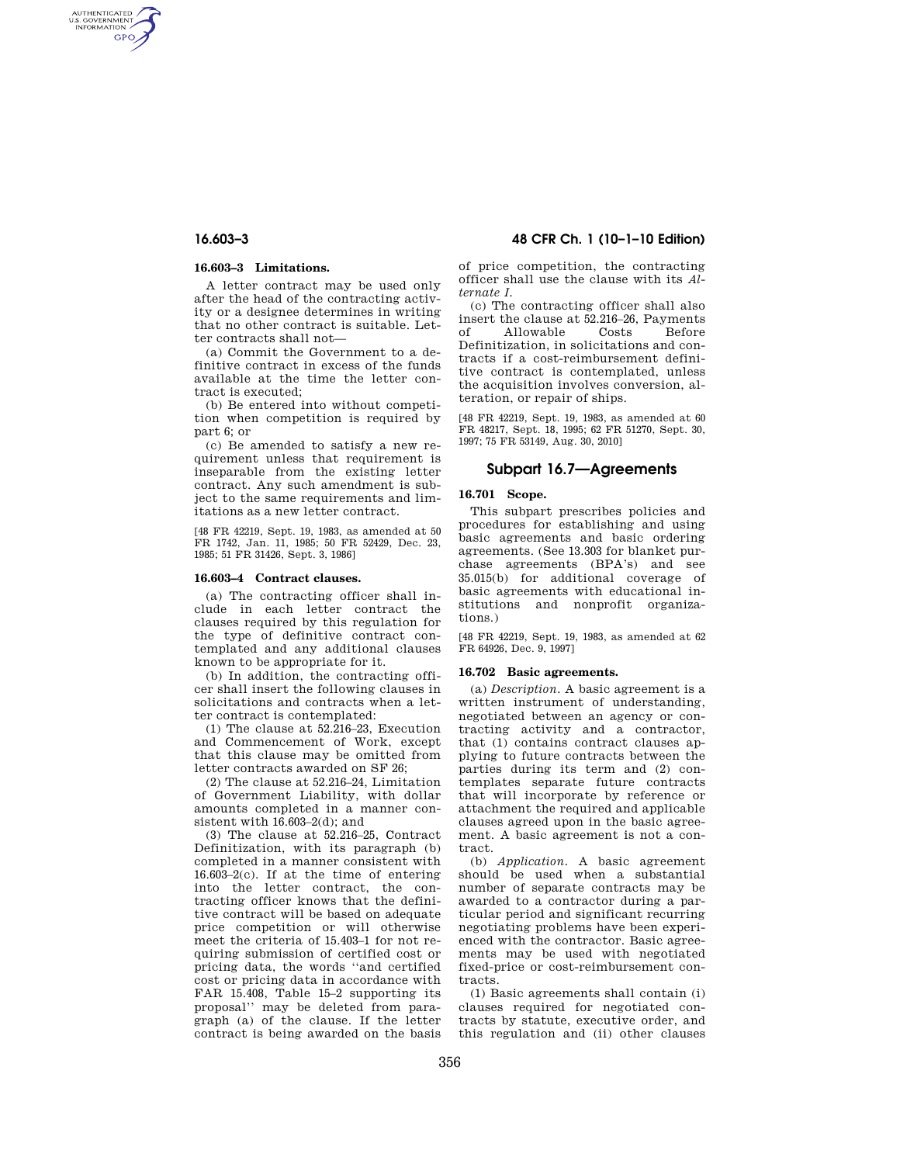AUTHENTICATED<br>U.S. GOVERNMENT<br>INFORMATION **GPO** 

#### **16.603–3 Limitations.**

A letter contract may be used only after the head of the contracting activity or a designee determines in writing that no other contract is suitable. Letter contracts shall not—

(a) Commit the Government to a definitive contract in excess of the funds available at the time the letter contract is executed;

(b) Be entered into without competition when competition is required by part 6; or

(c) Be amended to satisfy a new requirement unless that requirement is inseparable from the existing letter contract. Any such amendment is subject to the same requirements and limitations as a new letter contract.

[48 FR 42219, Sept. 19, 1983, as amended at 50 FR 1742, Jan. 11, 1985; 50 FR 52429, Dec. 23, 1985; 51 FR 31426, Sept. 3, 1986]

#### **16.603–4 Contract clauses.**

(a) The contracting officer shall include in each letter contract the clauses required by this regulation for the type of definitive contract contemplated and any additional clauses known to be appropriate for it.

(b) In addition, the contracting officer shall insert the following clauses in solicitations and contracts when a letter contract is contemplated:

(1) The clause at 52.216–23, Execution and Commencement of Work, except that this clause may be omitted from letter contracts awarded on SF 26;

(2) The clause at 52.216–24, Limitation of Government Liability, with dollar amounts completed in a manner consistent with 16.603–2(d); and

(3) The clause at 52.216–25, Contract Definitization, with its paragraph (b) completed in a manner consistent with 16.603–2(c). If at the time of entering into the letter contract, the contracting officer knows that the definitive contract will be based on adequate price competition or will otherwise meet the criteria of 15.403–1 for not requiring submission of certified cost or pricing data, the words ''and certified cost or pricing data in accordance with FAR 15.408, Table 15–2 supporting its proposal'' may be deleted from paragraph (a) of the clause. If the letter contract is being awarded on the basis

# **16.603–3 48 CFR Ch. 1 (10–1–10 Edition)**

of price competition, the contracting officer shall use the clause with its *Alternate I.* 

(c) The contracting officer shall also insert the clause at 52.216–26, Payments<br>of Allowable Costs Before Allowable Costs Before Definitization, in solicitations and contracts if a cost-reimbursement definitive contract is contemplated, unless the acquisition involves conversion, alteration, or repair of ships.

[48 FR 42219, Sept. 19, 1983, as amended at 60 FR 48217, Sept. 18, 1995; 62 FR 51270, Sept. 30, 1997; 75 FR 53149, Aug. 30, 2010]

# **Subpart 16.7—Agreements**

### **16.701 Scope.**

This subpart prescribes policies and procedures for establishing and using basic agreements and basic ordering agreements. (See 13.303 for blanket purchase agreements (BPA's) and see 35.015(b) for additional coverage of basic agreements with educational institutions and nonprofit organizations.)

[48 FR 42219, Sept. 19, 1983, as amended at 62 FR 64926, Dec. 9, 1997]

#### **16.702 Basic agreements.**

(a) *Description.* A basic agreement is a written instrument of understanding, negotiated between an agency or contracting activity and a contractor, that (1) contains contract clauses applying to future contracts between the parties during its term and (2) contemplates separate future contracts that will incorporate by reference or attachment the required and applicable clauses agreed upon in the basic agreement. A basic agreement is not a contract.

(b) *Application.* A basic agreement should be used when a substantial number of separate contracts may be awarded to a contractor during a particular period and significant recurring negotiating problems have been experienced with the contractor. Basic agreements may be used with negotiated fixed-price or cost-reimbursement contracts.

(1) Basic agreements shall contain (i) clauses required for negotiated contracts by statute, executive order, and this regulation and (ii) other clauses